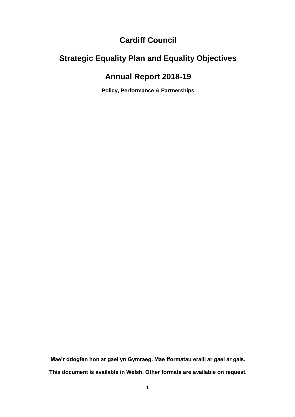## **Cardiff Council**

## **Strategic Equality Plan and Equality Objectives**

## **Annual Report 2018-19**

**Policy, Performance & Partnerships**

**Mae'r ddogfen hon ar gael yn Gymraeg. Mae fformatau eraill ar gael ar gais. This document is available in Welsh. Other formats are available on request.**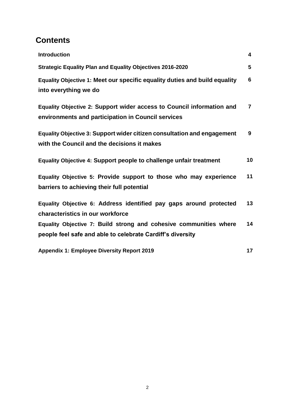## **Contents**

| <b>Introduction</b>                                                                                                             | $\overline{\mathbf{4}}$ |
|---------------------------------------------------------------------------------------------------------------------------------|-------------------------|
| <b>Strategic Equality Plan and Equality Objectives 2016-2020</b>                                                                | $5\phantom{1}$          |
| Equality Objective 1: Meet our specific equality duties and build equality<br>into everything we do                             | 6                       |
| Equality Objective 2: Support wider access to Council information and<br>environments and participation in Council services     | $\overline{7}$          |
| Equality Objective 3: Support wider citizen consultation and engagement<br>with the Council and the decisions it makes          | 9                       |
| Equality Objective 4: Support people to challenge unfair treatment                                                              | 10                      |
| Equality Objective 5: Provide support to those who may experience<br>barriers to achieving their full potential                 | 11                      |
| Equality Objective 6: Address identified pay gaps around protected<br>characteristics in our workforce                          | 13                      |
| Equality Objective 7: Build strong and cohesive communities where<br>people feel safe and able to celebrate Cardiff's diversity | 14                      |
| <b>Appendix 1: Employee Diversity Report 2019</b>                                                                               | 17                      |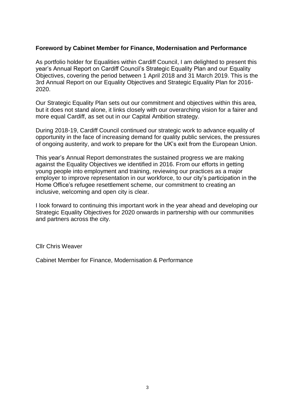#### **Foreword by Cabinet Member for Finance, Modernisation and Performance**

As portfolio holder for Equalities within Cardiff Council, I am delighted to present this year's Annual Report on Cardiff Council's Strategic Equality Plan and our Equality Objectives, covering the period between 1 April 2018 and 31 March 2019. This is the 3rd Annual Report on our Equality Objectives and Strategic Equality Plan for 2016- 2020.

Our Strategic Equality Plan sets out our commitment and objectives within this area, but it does not stand alone, it links closely with our overarching vision for a fairer and more equal Cardiff, as set out in our Capital Ambition strategy.

During 2018-19, Cardiff Council continued our strategic work to advance equality of opportunity in the face of increasing demand for quality public services, the pressures of ongoing austerity, and work to prepare for the UK's exit from the European Union.

This year's Annual Report demonstrates the sustained progress we are making against the Equality Objectives we identified in 2016. From our efforts in getting young people into employment and training, reviewing our practices as a major employer to improve representation in our workforce, to our city's participation in the Home Office's refugee resettlement scheme, our commitment to creating an inclusive, welcoming and open city is clear.

I look forward to continuing this important work in the year ahead and developing our Strategic Equality Objectives for 2020 onwards in partnership with our communities and partners across the city.

Cllr Chris Weaver

Cabinet Member for Finance, Modernisation & Performance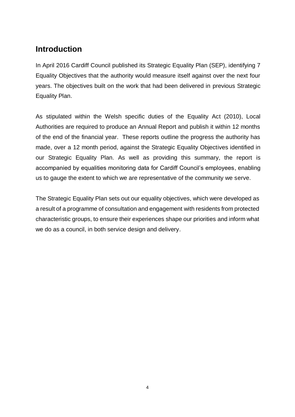## **Introduction**

In April 2016 Cardiff Council published its Strategic Equality Plan (SEP), identifying 7 Equality Objectives that the authority would measure itself against over the next four years. The objectives built on the work that had been delivered in previous Strategic Equality Plan.

As stipulated within the Welsh specific duties of the Equality Act (2010), Local Authorities are required to produce an Annual Report and publish it within 12 months of the end of the financial year. These reports outline the progress the authority has made, over a 12 month period, against the Strategic Equality Objectives identified in our Strategic Equality Plan. As well as providing this summary, the report is accompanied by equalities monitoring data for Cardiff Council's employees, enabling us to gauge the extent to which we are representative of the community we serve.

The Strategic Equality Plan sets out our equality objectives, which were developed as a result of a programme of consultation and engagement with residents from protected characteristic groups, to ensure their experiences shape our priorities and inform what we do as a council, in both service design and delivery.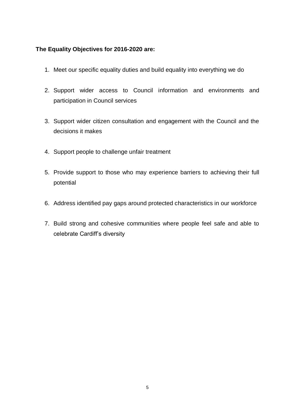#### **The Equality Objectives for 2016-2020 are:**

- 1. Meet our specific equality duties and build equality into everything we do
- 2. Support wider access to Council information and environments and participation in Council services
- 3. Support wider citizen consultation and engagement with the Council and the decisions it makes
- 4. Support people to challenge unfair treatment
- 5. Provide support to those who may experience barriers to achieving their full potential
- 6. Address identified pay gaps around protected characteristics in our workforce
- 7. Build strong and cohesive communities where people feel safe and able to celebrate Cardiff's diversity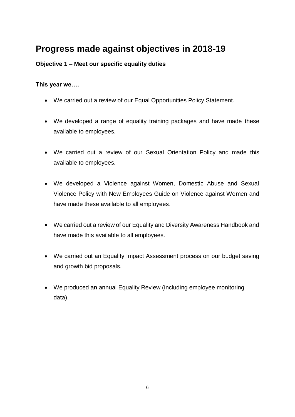# **Progress made against objectives in 2018-19**

### **Objective 1 – Meet our specific equality duties**

#### **This year we….**

- We carried out a review of our Equal Opportunities Policy Statement.
- We developed a range of equality training packages and have made these available to employees,
- We carried out a review of our Sexual Orientation Policy and made this available to employees.
- We developed a Violence against Women, Domestic Abuse and Sexual Violence Policy with New Employees Guide on Violence against Women and have made these available to all employees.
- We carried out a review of our Equality and Diversity Awareness Handbook and have made this available to all employees.
- We carried out an Equality Impact Assessment process on our budget saving and growth bid proposals.
- We produced an annual Equality Review (including employee monitoring data).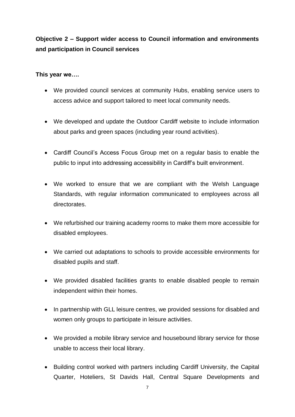## **Objective 2 – Support wider access to Council information and environments and participation in Council services**

### **This year we….**

- We provided council services at community Hubs, enabling service users to access advice and support tailored to meet local community needs.
- We developed and update the Outdoor Cardiff website to include information about parks and green spaces (including year round activities).
- Cardiff Council's Access Focus Group met on a regular basis to enable the public to input into addressing accessibility in Cardiff's built environment.
- We worked to ensure that we are compliant with the Welsh Language Standards, with regular information communicated to employees across all directorates.
- We refurbished our training academy rooms to make them more accessible for disabled employees.
- We carried out adaptations to schools to provide accessible environments for disabled pupils and staff.
- We provided disabled facilities grants to enable disabled people to remain independent within their homes.
- In partnership with GLL leisure centres, we provided sessions for disabled and women only groups to participate in leisure activities.
- We provided a mobile library service and housebound library service for those unable to access their local library.
- Building control worked with partners including Cardiff University, the Capital Quarter, Hoteliers, St Davids Hall, Central Square Developments and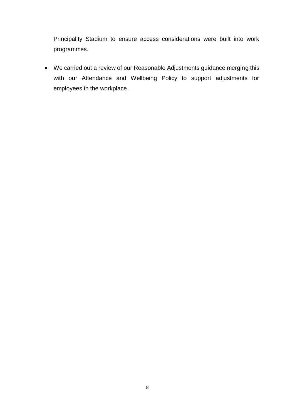Principality Stadium to ensure access considerations were built into work programmes.

 We carried out a review of our Reasonable Adjustments guidance merging this with our Attendance and Wellbeing Policy to support adjustments for employees in the workplace.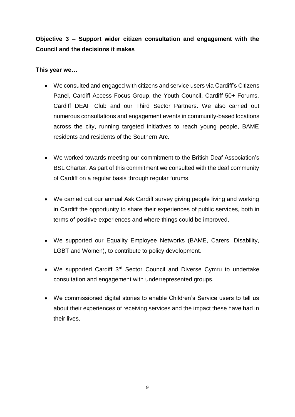**Objective 3 – Support wider citizen consultation and engagement with the Council and the decisions it makes**

#### **This year we…**

- We consulted and engaged with citizens and service users via Cardiff's Citizens Panel, Cardiff Access Focus Group, the Youth Council, Cardiff 50+ Forums, Cardiff DEAF Club and our Third Sector Partners. We also carried out numerous consultations and engagement events in community-based locations across the city, running targeted initiatives to reach young people, BAME residents and residents of the Southern Arc.
- We worked towards meeting our commitment to the British Deaf Association's BSL Charter. As part of this commitment we consulted with the deaf community of Cardiff on a regular basis through regular forums.
- We carried out our annual Ask Cardiff survey giving people living and working in Cardiff the opportunity to share their experiences of public services, both in terms of positive experiences and where things could be improved.
- We supported our Equality Employee Networks (BAME, Carers, Disability, LGBT and Women), to contribute to policy development.
- We supported Cardiff 3<sup>rd</sup> Sector Council and Diverse Cymru to undertake consultation and engagement with underrepresented groups.
- We commissioned digital stories to enable Children's Service users to tell us about their experiences of receiving services and the impact these have had in their lives.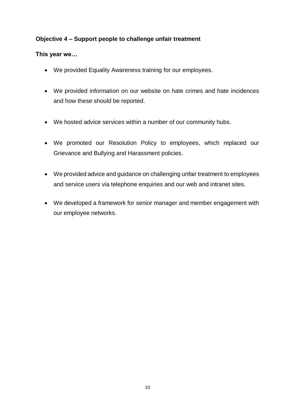### **Objective 4 – Support people to challenge unfair treatment**

#### **This year we…**

- We provided Equality Awareness training for our employees.
- We provided information on our website on hate crimes and hate incidences and how these should be reported.
- We hosted advice services within a number of our community hubs.
- We promoted our Resolution Policy to employees, which replaced our Grievance and Bullying and Harassment policies.
- We provided advice and guidance on challenging unfair treatment to employees and service users via telephone enquiries and our web and intranet sites.
- We developed a framework for senior manager and member engagement with our employee networks.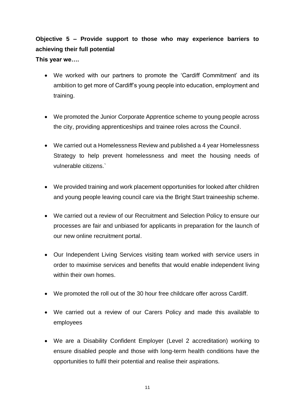## **Objective 5 – Provide support to those who may experience barriers to achieving their full potential This year we….**

- We worked with our partners to promote the 'Cardiff Commitment' and its ambition to get more of Cardiff's young people into education, employment and training.
- We promoted the Junior Corporate Apprentice scheme to young people across the city, providing apprenticeships and trainee roles across the Council.
- We carried out a Homelessness Review and published a 4 year Homelessness Strategy to help prevent homelessness and meet the housing needs of vulnerable citizens.`
- We provided training and work placement opportunities for looked after children and young people leaving council care via the Bright Start traineeship scheme.
- We carried out a review of our Recruitment and Selection Policy to ensure our processes are fair and unbiased for applicants in preparation for the launch of our new online recruitment portal.
- Our Independent Living Services visiting team worked with service users in order to maximise services and benefits that would enable independent living within their own homes
- We promoted the roll out of the 30 hour free childcare offer across Cardiff.
- We carried out a review of our Carers Policy and made this available to employees
- We are a Disability Confident Employer (Level 2 accreditation) working to ensure disabled people and those with long-term health conditions have the opportunities to fulfil their potential and realise their aspirations.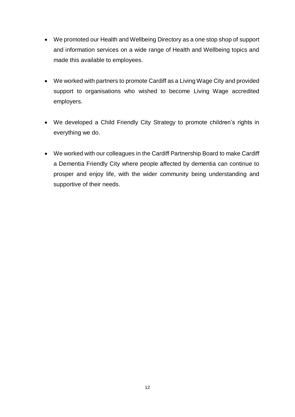- We promoted our Health and Wellbeing Directory as a one stop shop of support and information services on a wide range of Health and Wellbeing topics and made this available to employees.
- We worked with partners to promote Cardiff as a Living Wage City and provided support to organisations who wished to become Living Wage accredited employers.
- We developed a Child Friendly City Strategy to promote children's rights in everything we do.
- We worked with our colleagues in the Cardiff Partnership Board to make Cardiff a Dementia Friendly City where people affected by dementia can continue to prosper and enjoy life, with the wider community being understanding and supportive of their needs.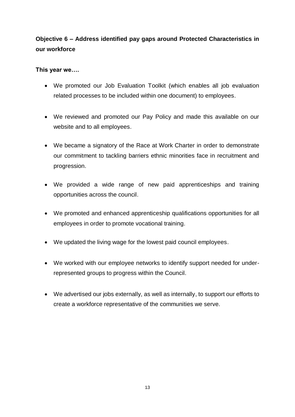## **Objective 6 – Address identified pay gaps around Protected Characteristics in our workforce**

#### **This year we….**

- We promoted our Job Evaluation Toolkit (which enables all job evaluation related processes to be included within one document) to employees.
- We reviewed and promoted our Pay Policy and made this available on our website and to all employees.
- We became a signatory of the Race at Work Charter in order to demonstrate our commitment to tackling barriers ethnic minorities face in recruitment and progression.
- We provided a wide range of new paid apprenticeships and training opportunities across the council.
- We promoted and enhanced apprenticeship qualifications opportunities for all employees in order to promote vocational training.
- We updated the living wage for the lowest paid council employees.
- We worked with our employee networks to identify support needed for underrepresented groups to progress within the Council.
- We advertised our jobs externally, as well as internally, to support our efforts to create a workforce representative of the communities we serve.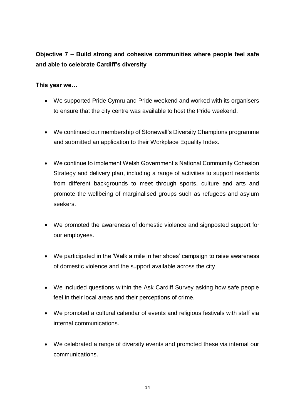## **Objective 7 – Build strong and cohesive communities where people feel safe and able to celebrate Cardiff's diversity**

### **This year we…**

- We supported Pride Cymru and Pride weekend and worked with its organisers to ensure that the city centre was available to host the Pride weekend.
- We continued our membership of Stonewall's Diversity Champions programme and submitted an application to their Workplace Equality Index.
- We continue to implement Welsh Government's National Community Cohesion Strategy and delivery plan, including a range of activities to support residents from different backgrounds to meet through sports, culture and arts and promote the wellbeing of marginalised groups such as refugees and asylum seekers.
- We promoted the awareness of domestic violence and signposted support for our employees.
- We participated in the 'Walk a mile in her shoes' campaign to raise awareness of domestic violence and the support available across the city.
- We included questions within the Ask Cardiff Survey asking how safe people feel in their local areas and their perceptions of crime.
- We promoted a cultural calendar of events and religious festivals with staff via internal communications.
- We celebrated a range of diversity events and promoted these via internal our communications.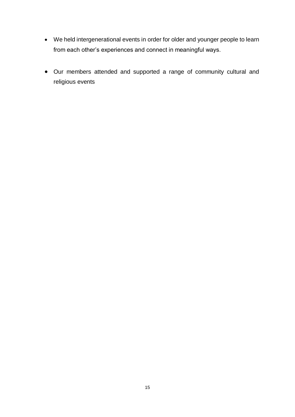- We held intergenerational events in order for older and younger people to learn from each other's experiences and connect in meaningful ways.
- Our members attended and supported a range of community cultural and religious events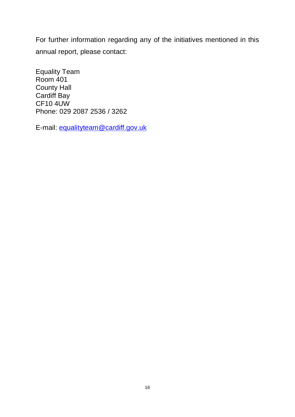For further information regarding any of the initiatives mentioned in this annual report, please contact:

Equality Team Room 401 County Hall Cardiff Bay CF10 4UW Phone: 029 2087 2536 / 3262

E-mail: [equalityteam@cardiff.gov.uk](mailto:equalityteam@cardiff.gov.uk)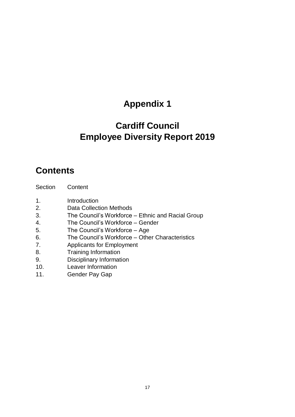# **Appendix 1**

# **Cardiff Council Employee Diversity Report 2019**

## **Contents**

- 1. Introduction
- 2. Data Collection Methods
- 3. The Council's Workforce Ethnic and Racial Group
- 4. The Council's Workforce Gender
- 5. The Council's Workforce Age
- 6. The Council's Workforce Other Characteristics
- 7. Applicants for Employment
- 8. Training Information
- 9. Disciplinary Information
- 10. Leaver Information
- 11. Gender Pay Gap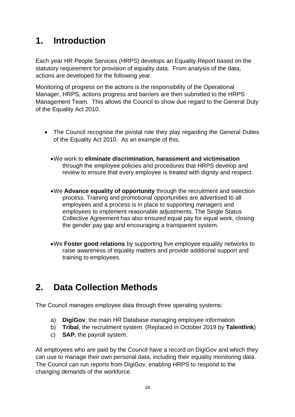# **1. Introduction**

Each year HR People Services (HRPS) develops an Equality Report based on the statutory requirement for provision of equality data. From analysis of the data, actions are developed for the following year.

Monitoring of progress on the actions is the responsibility of the Operational Manager, HRPS, actions progress and barriers are then submitted to the HRPS Management Team. This allows the Council to show due regard to the General Duty of the Equality Act 2010.

- The Council recognise the pivotal role they play regarding the General Duties of the Equality Act 2010. As an example of this,
	- We work to **eliminate discrimination, harassment and victimisation** through the employee policies and procedures that HRPS develop and review to ensure that every employee is treated with dignity and respect.
	- We **Advance equality of opportunity** through the recruitment and selection process. Training and promotional opportunities are advertised to all employees and a process is in place to supporting managers and employees to implement reasonable adjustments. The Single Status Collective Agreement has also ensured equal pay for equal work, closing the gender pay gap and encouraging a transparent system.
	- We **Foster good relations** by supporting five employee equality networks to raise awareness of equality matters and provide additional support and training to employees.

# **2. Data Collection Methods**

The Council manages employee data through three operating systems:

- a) **DigiGov**, the main HR Database managing employee information
- b) **Tribal**, the recruitment system. (Replaced in October 2019 by **Talentlink**)
- c) **SAP**, the payroll system.

All employees who are paid by the Council have a record on DigiGov and which they can use to manage their own personal data, including their equality monitoring data. The Council can run reports from DigiGov, enabling HRPS to respond to the changing demands of the workforce.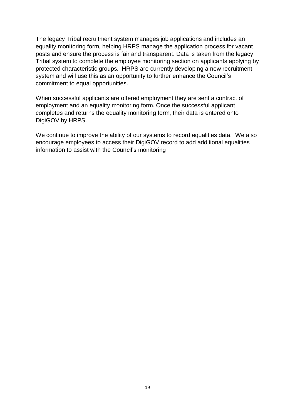The legacy Tribal recruitment system manages job applications and includes an equality monitoring form, helping HRPS manage the application process for vacant posts and ensure the process is fair and transparent. Data is taken from the legacy Tribal system to complete the employee monitoring section on applicants applying by protected characteristic groups. HRPS are currently developing a new recruitment system and will use this as an opportunity to further enhance the Council's commitment to equal opportunities.

When successful applicants are offered employment they are sent a contract of employment and an equality monitoring form. Once the successful applicant completes and returns the equality monitoring form, their data is entered onto DigiGOV by HRPS.

We continue to improve the ability of our systems to record equalities data. We also encourage employees to access their DigiGOV record to add additional equalities information to assist with the Council's monitoring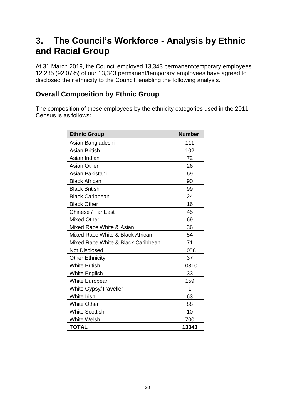# **3. The Council's Workforce - Analysis by Ethnic and Racial Group**

At 31 March 2019, the Council employed 13,343 permanent/temporary employees. 12,285 (92.07%) of our 13,343 permanent/temporary employees have agreed to disclosed their ethnicity to the Council, enabling the following analysis.

### **Overall Composition by Ethnic Group**

The composition of these employees by the ethnicity categories used in the 2011 Census is as follows:

| <b>Ethnic Group</b>                | <b>Number</b> |
|------------------------------------|---------------|
| Asian Bangladeshi                  | 111           |
| <b>Asian British</b>               | 102           |
| Asian Indian                       | 72            |
| <b>Asian Other</b>                 | 26            |
| Asian Pakistani                    | 69            |
| <b>Black African</b>               | 90            |
| <b>Black British</b>               | 99            |
| <b>Black Caribbean</b>             | 24            |
| <b>Black Other</b>                 | 16            |
| Chinese / Far East                 | 45            |
| <b>Mixed Other</b>                 | 69            |
| Mixed Race White & Asian           | 36            |
| Mixed Race White & Black African   | 54            |
| Mixed Race White & Black Caribbean | 71            |
| <b>Not Disclosed</b>               | 1058          |
| <b>Other Ethnicity</b>             | 37            |
| <b>White British</b>               | 10310         |
| <b>White English</b>               | 33            |
| <b>White European</b>              | 159           |
| White Gypsy/Traveller              | 1             |
| White Irish                        | 63            |
| <b>White Other</b>                 | 88            |
| <b>White Scottish</b>              | 10            |
| <b>White Welsh</b>                 | 700           |
| <b>TOTAL</b>                       | 13343         |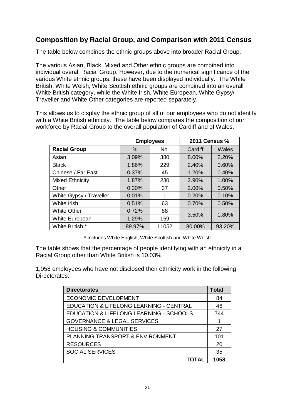## **Composition by Racial Group, and Comparison with 2011 Census**

The table below combines the ethnic groups above into broader Racial Group.

The various Asian, Black, Mixed and Other ethnic groups are combined into individual overall Racial Group. However, due to the numerical significance of the various White ethnic groups, these have been displayed individually. The White British, White Welsh, White Scottish ethnic groups are combined into an overall White British category, while the White Irish, White European, White Gypsy/ Traveller and White Other categories are reported separately.

This allows us to display the ethnic group of all of our employees who do not identify with a White British ethnicity. The table below compares the composition of our workforce by Racial Group to the overall population of Cardiff and of Wales.

|                         | <b>Employees</b> |       | <b>2011 Census %</b> |        |  |  |
|-------------------------|------------------|-------|----------------------|--------|--|--|
| <b>Racial Group</b>     | $\%$             | No.   | Cardiff              | Wales  |  |  |
| Asian                   | 3.09%            | 380   | 8.00%                | 2.20%  |  |  |
| <b>Black</b>            | 1.86%            | 229   | 2.40%                | 0.60%  |  |  |
| Chinese / Far East      | 0.37%            | 45    | 1.20%                | 0.40%  |  |  |
| Mixed Ethnicity         | 1.87%            | 230   | 2.90%                | 1.00%  |  |  |
| Other                   | 0.30%            | 37    | 2.00%                | 0.50%  |  |  |
| White Gypsy / Traveller | 0.01%            |       | 0.20%                | 0.10%  |  |  |
| White Irish             | 0.51%            | 63    | 0.70%                | 0.50%  |  |  |
| <b>White Other</b>      | 0.72%            | 88    | 3.50%                | 1.80%  |  |  |
| White European          | 1.29%            | 159   |                      |        |  |  |
| White British *         | 89.97%           | 11052 | 80.00%               | 93.20% |  |  |

\* Includes White English, White Scottish and White Welsh

The table shows that the percentage of people identifying with an ethnicity in a Racial Group other than White British is 10.03%.

1,058 employees who have not disclosed their ethnicity work in the following Directorates:

| <b>Directorates</b>                                | Total |
|----------------------------------------------------|-------|
| <b>ECONOMIC DEVELOPMENT</b>                        | 84    |
| <b>EDUCATION &amp; LIFELONG LEARNING - CENTRAL</b> | 46    |
| EDUCATION & LIFELONG LEARNING - SCHOOLS            | 744   |
| <b>GOVERNANCE &amp; LEGAL SERVICES</b>             |       |
| <b>HOUSING &amp; COMMUNITIES</b>                   | 27    |
| PLANNING TRANSPORT & ENVIRONMENT                   | 101   |
| <b>RESOURCES</b>                                   | 20    |
| <b>SOCIAL SERVICES</b>                             | 35    |
| <b>TOTAL</b>                                       | 1058  |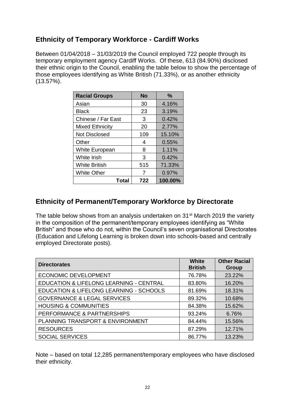## **Ethnicity of Temporary Workforce - Cardiff Works**

Between 01/04/2018 – 31/03/2019 the Council employed 722 people through its temporary employment agency Cardiff Works. Of these, 613 (84.90%) disclosed their ethnic origin to the Council, enabling the table below to show the percentage of those employees identifying as White British (71.33%), or as another ethnicity (13.57%).

| <b>Racial Groups</b>   | <b>No</b> | $\%$    |
|------------------------|-----------|---------|
| Asian                  | 30        | 4.16%   |
| <b>Black</b>           | 23        | 3.19%   |
| Chinese / Far East     | 3         | 0.42%   |
| <b>Mixed Ethnicity</b> | 20        | 2.77%   |
| <b>Not Disclosed</b>   | 109       | 15.10%  |
| Other                  | 4         | 0.55%   |
| White European         | 8         | 1.11%   |
| White Irish            | 3         | 0.42%   |
| <b>White British</b>   | 515       | 71.33%  |
| <b>White Other</b>     | 7         | 0.97%   |
| Total                  | 722       | 100.00% |

## **Ethnicity of Permanent/Temporary Workforce by Directorate**

The table below shows from an analysis undertaken on 31<sup>st</sup> March 2019 the variety in the composition of the permanent/temporary employees identifying as "White British" and those who do not, within the Council's seven organisational Directorates (Education and Lifelong Learning is broken down into schools-based and centrally employed Directorate posts).

| <b>Directorates</b>                                | <b>White</b><br><b>British</b> | <b>Other Racial</b><br>Group |
|----------------------------------------------------|--------------------------------|------------------------------|
| <b>ECONOMIC DEVELOPMENT</b>                        | 76.78%                         | 23.22%                       |
| <b>EDUCATION &amp; LIFELONG LEARNING - CENTRAL</b> | 83.80%                         | 16.20%                       |
| EDUCATION & LIFELONG LEARNING - SCHOOLS            | 81.69%                         | 18.31%                       |
| <b>GOVERNANCE &amp; LEGAL SERVICES</b>             | 89.32%                         | 10.68%                       |
| <b>HOUSING &amp; COMMUNITIES</b>                   | 84.38%                         | 15.62%                       |
| PERFORMANCE & PARTNERSHIPS                         | 93.24%                         | 6.76%                        |
| PLANNING TRANSPORT & ENVIRONMENT                   | 84.44%                         | 15.56%                       |
| <b>RESOURCES</b>                                   | 87.29%                         | 12.71%                       |
| <b>SOCIAL SERVICES</b>                             | 86.77%                         | 13.23%                       |

Note – based on total 12,285 permanent/temporary employees who have disclosed their ethnicity.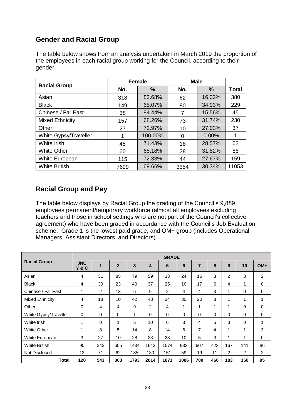## **Gender and Racial Group**

The table below shows from an analysis undertaken in March 2019 the proportion of the employees in each racial group working for the Council, according to their gender.

|                        |      | <b>Female</b> | <b>Male</b> |               |              |
|------------------------|------|---------------|-------------|---------------|--------------|
| <b>Racial Group</b>    | No.  | $\%$          | No.         | $\frac{0}{0}$ | <b>Total</b> |
| Asian                  | 318  | 83.68%        | 62          | 16.32%        | 380          |
| <b>Black</b>           | 149  | 65.07%        | 80          | 34.93%        | 229          |
| Chinese / Far East     | 38   | 84.44%        | 7           | 15.56%        | 45           |
| <b>Mixed Ethnicity</b> | 157  | 68.26%        | 73          | 31.74%        | 230          |
| Other                  | 27   | 72.97%        | 10          | 27.03%        | 37           |
| White Gypsy/Traveller  |      | 100.00%       | 0           | $0.00\%$      | 1            |
| White Irish            | 45   | 71.43%        | 18          | 28.57%        | 63           |
| <b>White Other</b>     | 60   | 68.18%        | 28          | 31.82%        | 88           |
| <b>White European</b>  | 115  | 72.33%        | 44          | 27.67%        | 159          |
| <b>White British</b>   | 7699 | 69.66%        | 3354        | 30.34%        | 11053        |

## **Racial Group and Pay**

The table below displays by Racial Group the grading of the Council's 9,889 employees permanent/temporary workforce (almost all employees excluding teachers and those in school settings who are not part of the Council's collective agreement) who have been graded in accordance with the Council's Job Evaluation scheme. Grade 1 is the lowest paid grade, and OM+ group (includes Operational Managers, Assistant Directors, and Directors).

|                       |                   |              |                |              |                         | <b>GRADE</b> |          |                |          |                |          |                |
|-----------------------|-------------------|--------------|----------------|--------------|-------------------------|--------------|----------|----------------|----------|----------------|----------|----------------|
| <b>Racial Group</b>   | <b>JNC</b><br>Y&C | $\mathbf{1}$ | $\overline{2}$ | 3            | $\overline{\mathbf{4}}$ | 5            | 6        | $\overline{7}$ | 8        | 9              | 10       | $OM+$          |
| Asian                 | 4                 | 31           | 85             | 79           | 59                      | 33           | 24       | 16             | 3        | 2              | 3        | $\overline{2}$ |
| <b>Black</b>          | 4                 | 39           | 23             | 40           | 37                      | 25           | 16       | 17             | 6        | 4              | 1        | 0              |
| Chinese / Far East    | 1                 | 2            | 13             | 6            | 9                       | 2            | 4        | 4              | 3        | 1              | $\Omega$ | 0              |
| Mixed Ethnicity       | 4                 | 18           | 10             | 42           | 43                      | 34           | 30       | 20             | 8        | 1              | 1        | $\mathbf{1}$   |
| Other                 | 0                 | 4            | 4              | 9            | $\overline{2}$          | 4            | 1        | 1              | 1        | 1              | $\Omega$ | 0              |
| White Gypsy/Traveller | 0                 | $\Omega$     | $\Omega$       | $\mathbf{1}$ | $\Omega$                | $\Omega$     | $\Omega$ | $\Omega$       | $\Omega$ | 0              | $\Omega$ | 0              |
| White Irish           | 1                 | 0            | 1              | 5            | 10                      | 6            | 3        | 4              | 5        | 3              | $\Omega$ | 1              |
| <b>White Other</b>    | $\mathbf{1}$      | 8            | 5              | 14           | 8                       | 14           | 6        | $\overline{7}$ | 4        | 1              | 1        | 3              |
| White European        | 3                 | 27           | 10             | 28           | 23                      | 28           | 10       | 5              | 3        | 1              | 1        | 0              |
| <b>White British</b>  | 90                | 343          | 655            | 1434         | 1643                    | 1574         | 933      | 607            | 422      | 167            | 141      | 86             |
| Not Disclosed         | 12                | 71           | 62             | 135          | 180                     | 151          | 59       | 19             | 11       | $\overline{2}$ | 2        | $\overline{2}$ |
| Total                 | 120               | 543          | 868            | 1793         | 2014                    | 1871         | 1086     | 700            | 466      | 183            | 150      | 95             |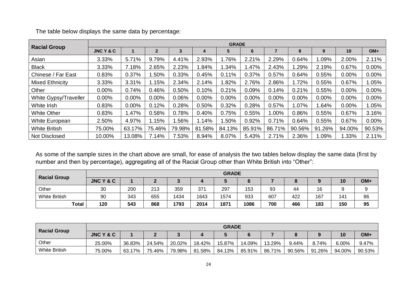|                        |           |        |                |        |          | <b>GRADE</b> |          |         |          |        |          |          |
|------------------------|-----------|--------|----------------|--------|----------|--------------|----------|---------|----------|--------|----------|----------|
| <b>Racial Group</b>    | JNC Y & C |        | $\overline{2}$ | 3      | 4        | 5            | 6        |         | 8        | 9      | 10       | $OM+$    |
| Asian                  | 3.33%     | 5.71%  | 9.79%          | 4.41%  | 2.93%    | .76%         | 2.21%    | 2.29%   | 0.64%    | .09%   | 2.00%    | 2.11%    |
| <b>Black</b>           | 3.33%     | 7.18%  | 2.65%          | 2.23%  | .84%     | .34%         | .47%     | 2.43%   | .29%     | 2.19%  | 0.67%    | 0.00%    |
| Chinese / Far East     | 0.83%     | 0.37%  | .50%           | 0.33%  | 0.45%    | 0.11%        | 0.37%    | 0.57%   | 0.64%    | 0.55%  | 0.00%    | 0.00%    |
| <b>Mixed Ethnicity</b> | 3.33%     | 3.31%  | l.15%          | 2.34%  | 2.14%    | .82%         | 2.76%    | 2.86%   | .72%     | 0.55%  | 0.67%    | 1.05%    |
| Other                  | 0.00%     | 0.74%  | 0.46%          | 0.50%  | 0.10%    | 0.21%        | 0.09%    | 0.14%   | 0.21%    | 0.55%  | 0.00%    | $0.00\%$ |
| White Gypsy/Traveller  | 0.00%     | 0.00%  | $0.00\%$       | 0.06%  | $0.00\%$ | 0.00%        | $0.00\%$ | 0.00%   | $0.00\%$ | 0.00%  | $0.00\%$ | 0.00%    |
| White Irish            | 0.83%     | 0.00%  | 0.12%          | 0.28%  | 0.50%    | 0.32%        | 0.28%    | 0.57%   | $1.07\%$ | .64%   | 0.00%    | 1.05%    |
| <b>White Other</b>     | 0.83%     | .47%   | 0.58%          | 0.78%  | 0.40%    | 0.75%        | 0.55%    | $.00\%$ | 0.86%    | 0.55%  | 0.67%    | 3.16%    |
| White European         | 2.50%     | 4.97%  | 1.15%          | .56%   | 1.14%    | .50%         | 0.92%    | 0.71%   | 0.64%    | 0.55%  | 0.67%    | $0.00\%$ |
| <b>White British</b>   | 75.00%    | 63.17% | 75.46%         | 79.98% | 81.58%   | 84.13%       | 85.91%   | 86.71%  | 90.56%   | 91.26% | 94.00%   | 90.53%   |
| Not Disclosed          | 10.00%    | 13.08% | 7.14%          | 7.53%  | 8.94%    | 8.07%        | 5.43%    | 2.71%   | 2.36%    | .09%   | 1.33%    | 2.11%    |

The table below displays the same data by percentage:

As some of the sample sizes in the chart above are small, for ease of analysis the two tables below display the same data (first by number and then by percentage), aggregating all of the Racial Group other than White British into "Other":

|                      |           |     |     |      |      | <b>GRADE</b> |      |     |     |     |     |       |
|----------------------|-----------|-----|-----|------|------|--------------|------|-----|-----|-----|-----|-------|
| <b>Racial Group</b>  | JNC Y & C |     |     |      |      |              |      |     |     |     | 10  | $OM+$ |
| Other                | 30        | 200 | 213 | 359  | 371  | 297          | 153  | 93  | 44  | 16  |     |       |
| <b>White British</b> | 90        | 343 | 655 | 1434 | 1643 | 1574         | 933  | 607 | 422 | 167 | 141 | 86    |
| <b>Total</b>         | 120       | 543 | 868 | 1793 | 2014 | 1871         | 1086 | 700 | 466 | 183 | 150 | 95    |

| <b>Racial Group</b>  |                      |        |        |        |        | <b>GRADE</b> |        |        |        |        |        |        |
|----------------------|----------------------|--------|--------|--------|--------|--------------|--------|--------|--------|--------|--------|--------|
|                      | <b>JNC Y &amp; C</b> |        |        |        |        |              |        |        |        |        | 10     | OM+    |
| Other                | 25.00%               | 36.83% | 24.54% | 20.02% | 18.42% | 15.87%       | 14.09% | 13.29% | 9.44%  | 8.74%  | 6.00%  | 9.47%  |
| <b>White British</b> | 75.00%               | 63.17% | 75.46% | 79.98% | 81.58% | 84.13%       | 85.91% | 86.71% | 90.56% | 91.26% | 94.00% | 90.53% |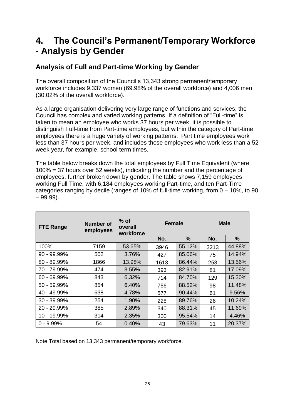## **4. The Council's Permanent/Temporary Workforce - Analysis by Gender**

## **Analysis of Full and Part-time Working by Gender**

The overall composition of the Council's 13,343 strong permanent/temporary workforce includes 9,337 women (69.98% of the overall workforce) and 4,006 men (30.02% of the overall workforce).

As a large organisation delivering very large range of functions and services, the Council has complex and varied working patterns. If a definition of "Full-time" is taken to mean an employee who works 37 hours per week, it is possible to distinguish Full-time from Part-time employees, but within the category of Part-time employees there is a huge variety of working patterns. Part time employees work less than 37 hours per week, and includes those employees who work less than a 52 week year, for example, school term times.

The table below breaks down the total employees by Full Time Equivalent (where 100% = 37 hours over 52 weeks), indicating the number and the percentage of employees, further broken down by gender. The table shows 7,159 employees working Full Time, with 6,184 employees working Part-time, and ten Part-Time categories ranging by decile (ranges of 10% of full-time working, from 0 – 10%, to 90  $-99.99$ ).

| <b>FTE Range</b> | Number of<br>employees | $%$ of<br>overall<br>workforce | <b>Female</b> |        | <b>Male</b> |        |
|------------------|------------------------|--------------------------------|---------------|--------|-------------|--------|
|                  |                        |                                | No.           | %      | No.         | %      |
| 100%             | 7159                   | 53.65%                         | 3946          | 55.12% | 3213        | 44.88% |
| 90 - 99.99%      | 502                    | 3.76%                          | 427           | 85.06% | 75          | 14.94% |
| 80 - 89.99%      | 1866                   | 13.98%                         | 1613          | 86.44% | 253         | 13.56% |
| 70 - 79.99%      | 474                    | 3.55%                          | 393           | 82.91% | 81          | 17.09% |
| 60 - 69.99%      | 843                    | 6.32%                          | 714           | 84.70% | 129         | 15.30% |
| 50 - 59.99%      | 854                    | 6.40%                          | 756           | 88.52% | 98          | 11.48% |
| 40 - 49.99%      | 638                    | 4.78%                          | 577           | 90.44% | 61          | 9.56%  |
| 30 - 39.99%      | 254                    | 1.90%                          | 228           | 89.76% | 26          | 10.24% |
| 20 - 29.99%      | 385                    | 2.89%                          | 340           | 88.31% | 45          | 11.69% |
| 10 - 19.99%      | 314                    | 2.35%                          | 300           | 95.54% | 14          | 4.46%  |
| $0 - 9.99%$      | 54                     | 0.40%                          | 43            | 79.63% | 11          | 20.37% |

Note Total based on 13,343 permanent/temporary workforce.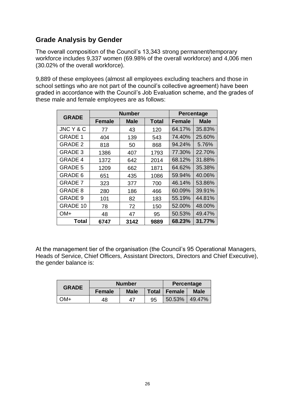## **Grade Analysis by Gender**

The overall composition of the Council's 13,343 strong permanent/temporary workforce includes 9,337 women (69.98% of the overall workforce) and 4,006 men (30.02% of the overall workforce).

9,889 of these employees (almost all employees excluding teachers and those in school settings who are not part of the council's collective agreement) have been graded in accordance with the Council's Job Evaluation scheme, and the grades of these male and female employees are as follows:

| <b>GRADE</b>    |        | <b>Number</b> |       | <b>Percentage</b> |             |
|-----------------|--------|---------------|-------|-------------------|-------------|
|                 | Female | Male          | Total | Female            | <b>Male</b> |
| JNC Y & C       | 77     | 43            | 120   | 64.17%            | 35.83%      |
| <b>GRADE 1</b>  | 404    | 139           | 543   | 74.40%            | 25.60%      |
| <b>GRADE 2</b>  | 818    | 50            | 868   | 94.24%            | 5.76%       |
| <b>GRADE 3</b>  | 1386   | 407           | 1793  | 77.30%            | 22.70%      |
| <b>GRADE 4</b>  | 1372   | 642           | 2014  | 68.12%            | 31.88%      |
| <b>GRADE 5</b>  | 1209   | 662           | 1871  | 64.62%            | 35.38%      |
| GRADE 6         | 651    | 435           | 1086  | 59.94%            | 40.06%      |
| <b>GRADE 7</b>  | 323    | 377           | 700   | 46.14%            | 53.86%      |
| <b>GRADE 8</b>  | 280    | 186           | 466   | 60.09%            | 39.91%      |
| GRADE 9         | 101    | 82            | 183   | 55.19%            | 44.81%      |
| <b>GRADE 10</b> | 78     | 72            | 150   | 52.00%            | 48.00%      |
| OM+             | 48     | 47            | 95    | 50.53%            | 49.47%      |
| <b>Total</b>    | 6747   | 3142          | 9889  | 68.23%            | 31.77%      |

At the management tier of the organisation (the Council's 95 Operational Managers, Heads of Service, Chief Officers, Assistant Directors, Directors and Chief Executive), the gender balance is:

| <b>GRADE</b> | <b>Number</b> |             |              | Percentage    |             |
|--------------|---------------|-------------|--------------|---------------|-------------|
|              | <b>Female</b> | <b>Male</b> | <b>Total</b> | <b>Female</b> | <b>Male</b> |
| $-MC$        | 48            | 47          | 95           | 50.53%        | 49.47%      |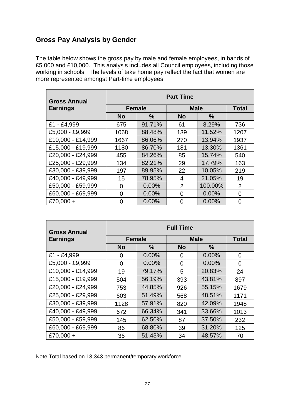### **Gross Pay Analysis by Gender**

The table below shows the gross pay by male and female employees, in bands of £5,000 and £10,000. This analysis includes all Council employees, including those working in schools. The levels of take home pay reflect the fact that women are more represented amongst Part-time employees.

| <b>Gross Annual</b> | <b>Part Time</b> |               |                |               |                |  |  |  |  |  |
|---------------------|------------------|---------------|----------------|---------------|----------------|--|--|--|--|--|
| <b>Earnings</b>     | <b>Female</b>    |               |                | <b>Male</b>   |                |  |  |  |  |  |
|                     | <b>No</b>        | $\frac{0}{0}$ | <b>No</b>      | $\frac{0}{0}$ |                |  |  |  |  |  |
| £1 - £4,999         | 675              | 91.71%        | 61             | 8.29%         | 736            |  |  |  |  |  |
| £5,000 - £9,999     | 1068             | 88.48%        | 139            | 11.52%        | 1207           |  |  |  |  |  |
| £10,000 - £14,999   | 1667             | 86.06%        | 270            | 13.94%        | 1937           |  |  |  |  |  |
| £15,000 - £19,999   | 1180             | 86.70%        | 181            | 13.30%        | 1361           |  |  |  |  |  |
| £20,000 - £24,999   | 455              | 84.26%        | 85             | 15.74%        | 540            |  |  |  |  |  |
| £25,000 - £29,999   | 134              | 82.21%        | 29             | 17.79%        | 163            |  |  |  |  |  |
| £30,000 - £39,999   | 197              | 89.95%        | 22             | 10.05%        | 219            |  |  |  |  |  |
| £40,000 - £49,999   | 15               | 78.95%        | 4              | 21.05%        | 19             |  |  |  |  |  |
| £50,000 - £59,999   | 0                | 0.00%         | $\overline{2}$ | 100.00%       | $\overline{2}$ |  |  |  |  |  |
| £60,000 - £69,999   | 0                | 0.00%         | $\overline{0}$ | 0.00%         | 0              |  |  |  |  |  |
| £70,000 +           | 0                | 0.00%         | $\Omega$       | 0.00%         | $\overline{0}$ |  |  |  |  |  |

| <b>Gross Annual</b> | <b>Full Time</b> |               |           |               |                |  |  |  |  |  |
|---------------------|------------------|---------------|-----------|---------------|----------------|--|--|--|--|--|
| <b>Earnings</b>     | <b>Female</b>    |               |           | <b>Male</b>   |                |  |  |  |  |  |
|                     | <b>No</b>        | $\frac{0}{0}$ | <b>No</b> | $\frac{0}{0}$ |                |  |  |  |  |  |
| £1 - £4,999         | 0                | 0.00%         | 0         | 0.00%         | $\overline{0}$ |  |  |  |  |  |
| £5,000 - £9,999     | 0                | 0.00%         | 0         | 0.00%         | 0              |  |  |  |  |  |
| £10,000 - £14,999   | 19               | 79.17%        | 5         | 20.83%        | 24             |  |  |  |  |  |
| £15,000 - £19,999   | 504              | 56.19%        | 393       | 43.81%        | 897            |  |  |  |  |  |
| £20,000 - £24,999   | 753              | 44.85%        | 926       | 55.15%        | 1679           |  |  |  |  |  |
| £25,000 - £29,999   | 603              | 51.49%        | 568       | 48.51%        | 1171           |  |  |  |  |  |
| £30,000 - £39,999   | 1128             | 57.91%        | 820       | 42.09%        | 1948           |  |  |  |  |  |
| £40,000 - £49,999   | 672              | 66.34%        | 341       | 33.66%        | 1013           |  |  |  |  |  |
| £50,000 - £59,999   | 145              | 62.50%        | 87        | 37.50%        | 232            |  |  |  |  |  |
| £60,000 - £69,999   | 86               | 68.80%        | 39        | 31.20%        | 125            |  |  |  |  |  |
| £70,000 +           | 36               | 51.43%        | 34        | 48.57%        | 70             |  |  |  |  |  |

Note Total based on 13,343 permanent/temporary workforce.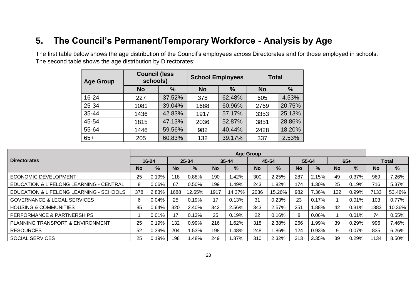# **5. The Council's Permanent/Temporary Workforce - Analysis by Age**

The first table below shows the age distribution of the Council's employees across Directorates and for those employed in schools. The second table shows the age distribution by Directorates:

| <b>Age Group</b> | <b>Council (less</b><br>schools) |        | <b>School Employees</b> |        | <b>Total</b> |        |
|------------------|----------------------------------|--------|-------------------------|--------|--------------|--------|
|                  | <b>No</b>                        | $\%$   | <b>No</b>               | $\%$   | <b>No</b>    | $\%$   |
| 16-24            | 227                              | 37.52% | 378                     | 62.48% | 605          | 4.53%  |
| 25-34            | 1081                             | 39.04% | 1688                    | 60.96% | 2769         | 20.75% |
| $35 - 44$        | 1436                             | 42.83% | 1917                    | 57.17% | 3353         | 25.13% |
| 45-54            | 1815                             | 47.13% | 2036                    | 52.87% | 3851         | 28.86% |
| 55-64            | 1446                             | 59.56% | 982                     | 40.44% | 2428         | 18.20% |
| $65+$            | 205                              | 60.83% | 132                     | 39.17% | 337          | 2.53%  |

|                                         | <b>Age Group</b> |           |           |        |           |               |           |        |           |          |           |               |           |              |
|-----------------------------------------|------------------|-----------|-----------|--------|-----------|---------------|-----------|--------|-----------|----------|-----------|---------------|-----------|--------------|
| <b>Directorates</b>                     |                  | $16 - 24$ |           | 25-34  |           | 35-44         |           | 45-54  |           | 55-64    |           | $65+$         |           | <b>Total</b> |
|                                         | <b>No</b>        | %         | <b>No</b> | $\%$   | <b>No</b> | $\frac{9}{6}$ | <b>No</b> | %      | <b>No</b> | $\%$     | <b>No</b> | $\frac{9}{6}$ | <b>No</b> | %            |
| <b>ECONOMIC DEVELOPMENT</b>             | 25               | 0.19%     | 118       | 0.88%  | 190       | $.42\%$       | 300       | 2.25%  | 287       | 2.15%    | 49        | 0.37%         | 969       | 7.26%        |
| EDUCATION & LIFELONG LEARNING - CENTRAL | 8                | 0.06%     | 67        | 0.50%  | 199       | .49%          | 243       | .82%   | 174       | 1.30%    | 25        | 0.19%         | 716       | 5.37%        |
| EDUCATION & LIFELONG LEARNING - SCHOOLS | 378              | 2.83%     | 1688      | 12.65% | 1917      | 14.37%        | 2036      | 15.26% | 982       | 7.36%    | 132       | 0.99%         | 7133      | 53.46%       |
| <b>GOVERNANCE &amp; LEGAL SERVICES</b>  | 6                | 0.04%     | 25        | 0.19%  | 17        | 0.13%         | 31        | 0.23%  | 23        | 0.17%    |           | 0.01%         | 103       | 0.77%        |
| <b>HOUSING &amp; COMMUNITIES</b>        | 85               | 0.64%     | 320       | 2.40%  | 342       | 2.56%         | 343       | 2.57%  | 251       | 1.88%    | -42       | 0.31%         | 1383      | 10.36%       |
| PERFORMANCE & PARTNERSHIPS              |                  | 0.01%     |           | 0.13%  | 25        | 0.19%         | 22        | 0.16%  | 8         | $0.06\%$ |           | $0.01\%$      | 74        | 0.55%        |
| PLANNING TRANSPORT & ENVIRONMENT        | 25               | 0.19%     | 132       | 0.99%  | 216       | .62%          | 318       | 2.38%  | 266       | 1.99%    | 39        | 0.29%         | 996       | 7.46%        |
| <b>RESOURCES</b>                        | 52               | 0.39%     | 204       | 1.53%  | 198       | .48%          | 248       | .86%   | 124       | 0.93%    | 9         | $0.07\%$      | 835       | 6.26%        |
| <b>SOCIAL SERVICES</b>                  | 25               | 0.19%     | 198       | 1.48%  | 249       | $.87\%$       | 310       | 2.32%  | 313       | 2.35%    | 39        | 0.29%         | 1134      | 8.50%        |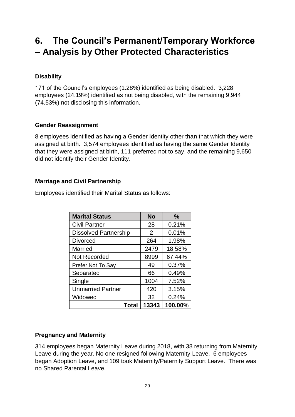# **6. The Council's Permanent/Temporary Workforce – Analysis by Other Protected Characteristics**

### **Disability**

171 of the Council's employees (1.28%) identified as being disabled. 3,228 employees (24.19%) identified as not being disabled, with the remaining 9,944 (74.53%) not disclosing this information.

### **Gender Reassignment**

8 employees identified as having a Gender Identity other than that which they were assigned at birth. 3,574 employees identified as having the same Gender Identity that they were assigned at birth, 111 preferred not to say, and the remaining 9,650 did not identify their Gender Identity.

#### **Marriage and Civil Partnership**

Employees identified their Marital Status as follows:

| <b>Marital Status</b>        | <b>No</b> | $\frac{0}{0}$ |
|------------------------------|-----------|---------------|
| <b>Civil Partner</b>         | 28        | 0.21%         |
| <b>Dissolved Partnership</b> | 2         | 0.01%         |
| <b>Divorced</b>              | 264       | 1.98%         |
| Married                      | 2479      | 18.58%        |
| <b>Not Recorded</b>          | 8999      | 67.44%        |
| Prefer Not To Say            | 49        | 0.37%         |
| Separated                    | 66        | 0.49%         |
| Single                       | 1004      | 7.52%         |
| <b>Unmarried Partner</b>     | 420       | 3.15%         |
| Widowed                      | 32        | 0.24%         |
| Total                        | 13343     | 100.00%       |

### **Pregnancy and Maternity**

314 employees began Maternity Leave during 2018, with 38 returning from Maternity Leave during the year. No one resigned following Maternity Leave. 6 employees began Adoption Leave, and 109 took Maternity/Paternity Support Leave. There was no Shared Parental Leave.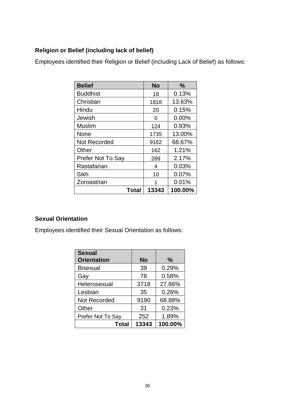## **Religion or Belief (including lack of belief)**

Employees identified their Religion or Belief (including Lack of Belief) as follows:

| <b>Belief</b>       | <b>No</b> | $\frac{0}{0}$ |
|---------------------|-----------|---------------|
| <b>Buddhist</b>     | 18        | 0.13%         |
| Christian           | 1818      | 13.63%        |
| Hindu               | 20        | 0.15%         |
| Jewish              | O         | 0.00%         |
| Muslim              | 124       | 0.93%         |
| None                | 1735      | 13.00%        |
| <b>Not Recorded</b> | 9162      | 68.67%        |
| Other               | 162       | 1.21%         |
| Prefer Not To Say   | 289       | 2.17%         |
| Rastafarian         | 4         | 0.03%         |
| Sikh                | 10        | 0.07%         |
| Zoroastrian         | 1         | 0.01%         |
| Total               | 13343     | 100.00%       |

### **Sexual Orientation**

Employees identified their Sexual Orientation as follows:

| <b>Sexual</b><br><b>Orientation</b> | <b>No</b> | $\%$    |
|-------------------------------------|-----------|---------|
| <b>Bisexual</b>                     | 39        | 0.29%   |
| Gay                                 | 78        | 0.58%   |
| Heterosexual                        | 3718      | 27.86%  |
| Lesbian                             | 35        | 0.26%   |
| <b>Not Recorded</b>                 | 9190      | 68.88%  |
| Other                               | 31        | 0.23%   |
| Prefer Not To Say                   | 252       | 1.89%   |
| Total                               | 13343     | 100.00% |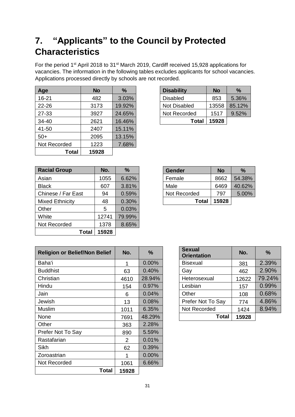# **7. "Applicants" to the Council by Protected Characteristics**

For the period 1<sup>st</sup> April 2018 to 31<sup>st</sup> March 2019, Cardiff received 15,928 applications for vacancies. The information in the following tables excludes applicants for school vacancies. Applications processed directly by schools are not recorded.

| Age          | <b>No</b> | $\%$   | <b>Disability</b> | <b>No</b> | %      |
|--------------|-----------|--------|-------------------|-----------|--------|
| 16-21        | 482       | 3.03%  | <b>Disabled</b>   | 853       | 5.36%  |
| $22 - 26$    | 3173      | 19.92% | Not Disabled      | 13558     | 85.12% |
| 27-33        | 3927      | 24.65% | Not Recorded      | 1517      | 9.52%  |
| 34-40        | 2621      | 16.46% | <b>Total</b>      | 15928     |        |
| 41-50        | 2407      | 15.11% |                   |           |        |
| $50+$        | 2095      | 13.15% |                   |           |        |
| Not Recorded | 1223      | 7.68%  |                   |           |        |
| Total        | 15928     |        |                   |           |        |

| <b>Disability</b> | No    | ℅      |
|-------------------|-------|--------|
| Disabled          | 853   | 5.36%  |
| Not Disabled      | 13558 | 85.12% |
| Not Recorded      | 1517  | 9.52%  |
| Total             | 15928 |        |

| <b>Racial Group</b>    | No.   | %      | <b>Gender</b> | <b>No</b> | $\%$   |
|------------------------|-------|--------|---------------|-----------|--------|
| Asian                  | 1055  | 6.62%  | Female        | 8662      | 54.38% |
| <b>Black</b>           | 607   | 3.81%  | Male          | 6469      | 40.62% |
| Chinese / Far East     | 94    | 0.59%  | Not Recorded  | 797       | 5.00%  |
| <b>Mixed Ethnicity</b> | 48    | 0.30%  | <b>Total</b>  | 15928     |        |
| Other                  | 5     | 0.03%  |               |           |        |
| White                  | 12741 | 79.99% |               |           |        |
| Not Recorded           | 1378  | 8.65%  |               |           |        |
| Total                  | 15928 |        |               |           |        |

| <b>Gender</b> | No    | %      |
|---------------|-------|--------|
| Female        | 8662  | 54.38% |
| Male          | 6469  | 40.62% |
| Not Recorded  | 797   | 5.00%  |
| Total         | 15928 |        |

| <b>Religion or Belief/Non Belief</b> | No.            | %        | <b>Sexual</b><br><b>Orientation</b> | No.   | %      |
|--------------------------------------|----------------|----------|-------------------------------------|-------|--------|
| Baha'i                               | 1              | 0.00%    | <b>Bisexual</b>                     | 381   | 2.39%  |
| <b>Buddhist</b>                      | 63             | 0.40%    | Gay                                 | 462   | 2.90%  |
| Christian                            | 4610           | 28.94%   | Heterosexual                        | 12622 | 79.24% |
| Hindu                                | 154            | 0.97%    | Lesbian                             | 157   | 0.99%  |
| Jain                                 | 6              | 0.04%    | Other                               | 108   | 0.68%  |
| Jewish                               | 13             | 0.08%    | Prefer Not To Say                   | 774   | 4.86%  |
| Muslim                               | 1011           | 6.35%    | Not Recorded                        | 1424  | 8.94%  |
| None                                 | 7691           | 48.29%   | Total                               | 15928 |        |
| Other                                | 363            | 2.28%    |                                     |       |        |
| Prefer Not To Say                    | 890            | 5.59%    |                                     |       |        |
| Rastafarian                          | $\overline{2}$ | 0.01%    |                                     |       |        |
| <b>Sikh</b>                          | 62             | 0.39%    |                                     |       |        |
| Zoroastrian                          | 1              | $0.00\%$ |                                     |       |        |
| Not Recorded                         | 1061           | 6.66%    |                                     |       |        |
| Total                                | 15928          |          |                                     |       |        |

| <b>Sexual</b><br><b>Orientation</b> | No.   | $\%$   |
|-------------------------------------|-------|--------|
| <b>Bisexual</b>                     | 381   | 2.39%  |
| Gay                                 | 462   | 2.90%  |
| Heterosexual                        | 12622 | 79.24% |
| Lesbian                             | 157   | 0.99%  |
| Other                               | 108   | 0.68%  |
| Prefer Not To Say                   | 774   | 4.86%  |
| Not Recorded                        | 1424  | 8.94%  |
| Total                               | 15928 |        |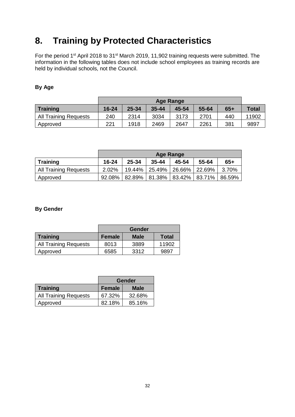# **8. Training by Protected Characteristics**

For the period 1<sup>st</sup> April 2018 to 31<sup>st</sup> March 2019, 11,902 training requests were submitted. The information in the following tables does not include school employees as training records are held by individual schools, not the Council.

#### **By Age**

|                              |       | <b>Age Range</b> |           |       |       |       |              |  |  |
|------------------------------|-------|------------------|-----------|-------|-------|-------|--------------|--|--|
| <b>Training</b>              | 16-24 | 25-34            | $35 - 44$ | 45-54 | 55-64 | $65+$ | <b>Total</b> |  |  |
| <b>All Training Requests</b> | 240   | 2314             | 3034      | 3173  | 2701  | 440   | 11902        |  |  |
| Approved                     | 221   | 1918             | 2469      | 2647  | 2261  | 381   | 9897         |  |  |

|                       | <b>Age Range</b> |           |           |                      |                          |        |  |  |  |
|-----------------------|------------------|-----------|-----------|----------------------|--------------------------|--------|--|--|--|
| <b>Training</b>       | 16-24            | 25-34     | $35 - 44$ | 45-54                | 55-64                    | $65+$  |  |  |  |
| All Training Requests | 2.02%            | $19.44\%$ |           | 25.49% 26.66% 22.69% |                          | 3.70%  |  |  |  |
| Approved              | 92.08%           | 82.89%    |           |                      | 81.38%   83.42%   83.71% | 86.59% |  |  |  |

#### **By Gender**

|                              | Gender |             |              |  |  |  |  |
|------------------------------|--------|-------------|--------------|--|--|--|--|
| <b>Training</b>              | Female | <b>Male</b> | <b>Total</b> |  |  |  |  |
| <b>All Training Requests</b> | 8013   | 3889        | 11902        |  |  |  |  |
| Approved                     | 6585   | 3312        | 9897         |  |  |  |  |

|                              | Gender |             |  |  |
|------------------------------|--------|-------------|--|--|
| <b>Training</b>              | Female | <b>Male</b> |  |  |
| <b>All Training Requests</b> | 67.32% | 32.68%      |  |  |
| Approved                     | 82.18% | 85.16%      |  |  |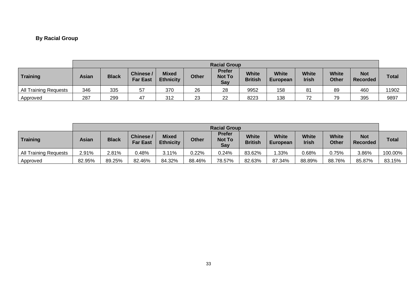## **By Racial Group**

|                              |              | <b>Racial Group</b> |                              |                                  |              |                                       |                                |                          |                              |                              |                               |              |
|------------------------------|--------------|---------------------|------------------------------|----------------------------------|--------------|---------------------------------------|--------------------------------|--------------------------|------------------------------|------------------------------|-------------------------------|--------------|
| Training                     | <b>Asian</b> | <b>Black</b>        | Chinese /<br><b>Far East</b> | <b>Mixed</b><br><b>Ethnicity</b> | <b>Other</b> | <b>Prefer</b><br><b>Not To</b><br>Say | <b>White</b><br><b>British</b> | <b>White</b><br>European | <b>White</b><br><b>Irish</b> | <b>White</b><br><b>Other</b> | <b>Not</b><br><b>Recorded</b> | <b>Total</b> |
| <b>All Training Requests</b> | 346          | 335                 | 57                           | 370                              | 26           | 28                                    | 9952                           | 158                      | 81                           | 89                           | 460                           | 11902        |
| Approved                     | 287          | 299                 | 47                           | 312                              | 23           | 22                                    | 8223                           | 138                      | 72                           | 79                           | 395                           | 9897         |

|                              |              | <b>Racial Group</b> |                             |                                  |              |                                       |                         |                          |                              |                              |                               |              |
|------------------------------|--------------|---------------------|-----------------------------|----------------------------------|--------------|---------------------------------------|-------------------------|--------------------------|------------------------------|------------------------------|-------------------------------|--------------|
| Training                     | <b>Asian</b> | <b>Black</b>        | Chinese/<br><b>Far East</b> | <b>Mixed</b><br><b>Ethnicity</b> | <b>Other</b> | <b>Prefer</b><br><b>Not To</b><br>Say | White<br><b>British</b> | <b>White</b><br>European | <b>White</b><br><b>Irish</b> | <b>White</b><br><b>Other</b> | <b>Not</b><br><b>Recorded</b> | <b>Total</b> |
| <b>All Training Requests</b> | 2.91%        | 2.81%               | $0.48\%$                    | 3.11%                            | 0.22%        | 0.24%                                 | 83.62%                  | .33%                     | 0.68%                        | 0.75%                        | 3.86%                         | 100.00%      |
| Approved                     | 82.95%       | 89.25%              | 82.46%                      | 84.32%                           | 88.46%       | 78.57%                                | 82.63%                  | 87.34%                   | 88.89%                       | 88.76%                       | 85.87%                        | 83.15%       |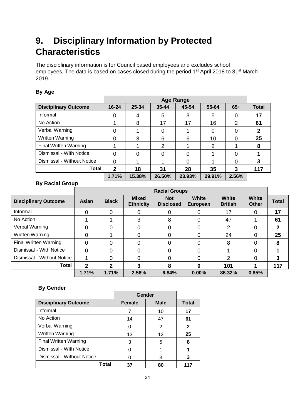# **9. Disciplinary Information by Protected Characteristics**

The disciplinary information is for Council based employees and excludes school employees. The data is based on cases closed during the period 1<sup>st</sup> April 2018 to 31<sup>st</sup> March 2019.

#### **By Age**

|                              |              |        |                | <b>Age Range</b> |        |                |              |
|------------------------------|--------------|--------|----------------|------------------|--------|----------------|--------------|
| <b>Disciplinary Outcome</b>  | $16 - 24$    | 25-34  | $35 - 44$      | 45-54            | 55-64  | $65+$          | <b>Total</b> |
| Informal                     | $\Omega$     | 4      | 5              | 3                | 5      | 0              | 17           |
| No Action                    |              | 8      | 17             | 17               | 16     | $\overline{2}$ | 61           |
| Verbal Warning               | $\Omega$     |        |                |                  | 0      | 0              | 2            |
| <b>Written Warning</b>       | $\Omega$     | 3      | 6              | 6                | 10     | 0              | 25           |
| <b>Final Written Warning</b> |              |        | $\overline{2}$ |                  | 2      |                | 8            |
| Dismissal - With Notice      | $\Omega$     | 0      |                | 0                |        | 0              |              |
| Dismissal - Without Notice   | $\Omega$     |        |                | 0                |        | $\Omega$       | 3            |
| <b>Total</b>                 | $\mathbf{2}$ | 18     | 31             | 28               | 35     | 3              | 117          |
|                              | 1.71%        | 15.38% | 26.50%         | 23.93%           | 29.91% | 2.56%          |              |

### **By Racial Group**

| <b>Disciplinary Outcome</b>  | Asian        | <b>Black</b> | <b>Mixed</b><br><b>Ethnicity</b> | <b>Not</b><br><b>Disclosed</b> | <b>White</b><br><b>European</b> | <b>White</b><br><b>British</b> | <b>White</b><br><b>Other</b> | <b>Total</b> |
|------------------------------|--------------|--------------|----------------------------------|--------------------------------|---------------------------------|--------------------------------|------------------------------|--------------|
| Informal                     | 0            | 0            | 0                                | 0                              | 0                               | 17                             | 0                            | 17           |
| No Action                    |              |              | 3                                | 8                              | 0                               | 47                             |                              | 61           |
| Verbal Warning               | 0            | 0            | 0                                | 0                              | 0                               | 2                              | 0                            | 2            |
| <b>Written Warning</b>       | 0            |              | 0                                | 0                              | 0                               | 24                             | 0                            | 25           |
| <b>Final Written Warning</b> | 0            | 0            | 0                                | $\Omega$                       | 0                               | 8                              | 0                            | 8            |
| Dismissal - With Notice      | $\Omega$     | 0            | $\Omega$                         | 0                              | 0                               |                                | 0                            |              |
| Dismissal - Without Notice   |              | 0            | 0                                | $\Omega$                       | 0                               | $\overline{2}$                 | 0                            | 3            |
| Total                        | $\mathbf{2}$ | $\mathbf{2}$ | 3                                | 8                              | 0                               | 101                            |                              | 117          |
|                              | 1.71%        | 1.71%        | 2.56%                            | 6.84%                          | 0.00%                           | 86.32%                         | 0.85%                        |              |

#### **By Gender**

|                              | Gender        |             |              |
|------------------------------|---------------|-------------|--------------|
| <b>Disciplinary Outcome</b>  | <b>Female</b> | <b>Male</b> | <b>Total</b> |
| Informal                     |               | 10          | 17           |
| No Action                    | 14            | 47          | 61           |
| Verbal Warning               | 0             | 2           | 2            |
| Written Warning              | 13            | 12          | 25           |
| <b>Final Written Warning</b> | 3             | 5           | 8            |
| Dismissal - With Notice      | 0             |             |              |
| Dismissal - Without Notice   | 0             | 3           | 3            |
| Total                        | 37            | 80          | 117          |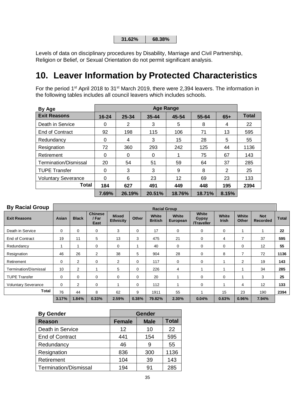| 31.62% | 68.38% |
|--------|--------|
|--------|--------|

Levels of data on disciplinary procedures by Disability, Marriage and Civil Partnership, Religion or Belief, or Sexual Orientation do not permit significant analysis.

# **10. Leaver Information by Protected Characteristics**

For the period 1<sup>st</sup> April 2018 to 31<sup>st</sup> March 2019, there were 2,394 leavers. The information in the following tables includes all council leavers which includes schools.

| By Age                     | <b>Age Range</b> |        |           |        |        |       |              |
|----------------------------|------------------|--------|-----------|--------|--------|-------|--------------|
| <b>Exit Reasons</b>        | $16 - 24$        | 25-34  | $35 - 44$ | 45-54  | 55-64  | $65+$ | <b>Total</b> |
| Death in Service           | 0                | 2      | 3         | 5      | 8      | 4     | 22           |
| End of Contract            | 92               | 198    | 115       | 106    | 71     | 13    | 595          |
| Redundancy                 | 0                | 4      | 3         | 15     | 28     | 5     | 55           |
| Resignation                | 72               | 360    | 293       | 242    | 125    | 44    | 1136         |
| Retirement                 | $\Omega$         | 0      | $\Omega$  |        | 75     | 67    | 143          |
| Termination/Dismissal      | 20               | 54     | 51        | 59     | 64     | 37    | 285          |
| <b>TUPE Transfer</b>       | $\Omega$         | 3      | 3         | 9      | 8      | 2     | 25           |
| <b>Voluntary Severance</b> | $\Omega$         | 6      | 23        | 12     | 69     | 23    | 133          |
| <b>Total</b>               | 184              | 627    | 491       | 449    | 448    | 195   | 2394         |
|                            | 7.69%            | 26.19% | 20.51%    | 18.76% | 18.71% | 8.15% |              |

| <b>By Racial Group</b>     | <b>Racial Group</b> |                |                                 |                                  |       |                         |                   |                                     |                       |                |                               |              |
|----------------------------|---------------------|----------------|---------------------------------|----------------------------------|-------|-------------------------|-------------------|-------------------------------------|-----------------------|----------------|-------------------------------|--------------|
| <b>Exit Reasons</b>        | Asian               | <b>Black</b>   | <b>Chinese</b><br>/ Far<br>East | <b>Mixed</b><br><b>Ethnicity</b> | Other | White<br><b>British</b> | White<br>European | White<br><b>Gypsy</b><br>/Traveller | White<br><b>Irish</b> | White<br>Other | <b>Not</b><br><b>Recorded</b> | <b>Total</b> |
| Death in Service           | 0                   | $\Omega$       | 0                               | 3                                | 0     | 17                      | $\mathbf 0$       | $\mathbf 0$                         | 0                     |                | 1                             | 22           |
| <b>End of Contract</b>     | 19                  | 11             | 5                               | 13                               | 3     | 475                     | 21                | $\mathbf 0$                         | 4                     | $\overline{7}$ | 37                            | 595          |
| Redundancy                 |                     |                | 0                               | $\mathbf 0$                      |       | 40                      | $\mathbf 0$       | 0                                   | 0                     | $\mathbf 0$    | 12                            | 55           |
| Resignation                | 46                  | 26             | $\overline{2}$                  | 38                               | 5     | 904                     | 28                | 0                                   | 8                     | $\overline{7}$ | 72                            | 1136         |
| Retirement                 | 0                   | 2              | 0                               | $\overline{2}$                   | 0     | 117                     | 0                 | 0                                   |                       | 2              | 19                            | 143          |
| Termination/Dismissal      | 10                  | 2              |                                 | 5                                | 0     | 226                     | 4                 |                                     |                       |                | 34                            | 285          |
| <b>TUPE Transfer</b>       | 0                   | $\mathbf 0$    | 0                               | $\Omega$                         | 0     | 20                      |                   | $\Omega$                            | 0                     |                | 3                             | 25           |
| <b>Voluntary Severance</b> | 0                   | $\overline{2}$ | 0                               |                                  | 0     | 112                     |                   | 0                                   |                       | 4              | 12                            | 133          |
| Total                      | 76                  | 44             | 8                               | 62                               | 9     | 1911                    | 55                |                                     | 15                    | 23             | 190                           | 2394         |
|                            | 3.17%               | 1.84%          | 0.33%                           | 2.59%                            | 0.38% | 79.82%                  | 2.30%             | 0.04%                               | 0.63%                 | 0.96%          | 7.94%                         |              |

| <b>By Gender</b>             | <b>Gender</b>     |             |              |  |  |
|------------------------------|-------------------|-------------|--------------|--|--|
| <b>Reason</b>                | <b>Female</b>     | <b>Male</b> | <b>Total</b> |  |  |
| Death in Service             | $12 \overline{ }$ | 10          | 22           |  |  |
| <b>End of Contract</b>       | 441               | 154         | 595          |  |  |
| Redundancy                   | 46                | 9           | 55           |  |  |
| Resignation                  | 836               | 300         | 1136         |  |  |
| Retirement                   | 104               | 39          | 143          |  |  |
| <b>Termination/Dismissal</b> | 194               | 91          | 285          |  |  |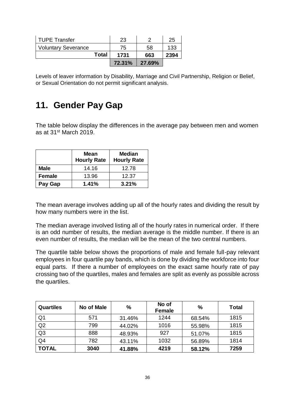| <b>TUPE Transfer</b>       | 23     |        | 25   |
|----------------------------|--------|--------|------|
| <b>Voluntary Severance</b> | 75     | 58     | 133  |
| Total                      | 1731   | 663    | 2394 |
|                            | 72.31% | 27.69% |      |

Levels of leaver information by Disability, Marriage and Civil Partnership, Religion or Belief, or Sexual Orientation do not permit significant analysis.

## **11. Gender Pay Gap**

The table below display the differences in the average pay between men and women as at 31st March 2019.

|               | <b>Mean</b><br><b>Hourly Rate</b> | <b>Median</b><br><b>Hourly Rate</b> |  |  |
|---------------|-----------------------------------|-------------------------------------|--|--|
| <b>Male</b>   | 14.16                             | 12.78                               |  |  |
| <b>Female</b> | 13.96                             | 12.37                               |  |  |
| Pay Gap       | 1.41%                             | 3.21%                               |  |  |

The mean average involves adding up all of the hourly rates and dividing the result by how many numbers were in the list.

The median average involved listing all of the hourly rates in numerical order. If there is an odd number of results, the median average is the middle number. If there is an even number of results, the median will be the mean of the two central numbers.

The quartile table below shows the proportions of male and female full-pay relevant employees in four quartile pay bands, which is done by dividing the workforce into four equal parts. If there a number of employees on the exact same hourly rate of pay crossing two of the quartiles, males and females are split as evenly as possible across the quartiles.

| <b>Quartiles</b> | No of Male | %      | No of<br><b>Female</b> | %      | <b>Total</b> |
|------------------|------------|--------|------------------------|--------|--------------|
| Q <sub>1</sub>   | 571        | 31.46% | 1244                   | 68.54% | 1815         |
| Q2               | 799        | 44.02% | 1016                   | 55.98% | 1815         |
| Q <sub>3</sub>   | 888        | 48.93% | 927                    | 51.07% | 1815         |
| Q <sub>4</sub>   | 782        | 43.11% | 1032                   | 56.89% | 1814         |
| <b>TOTAL</b>     | 3040       | 41.88% | 4219                   | 58.12% | 7259         |